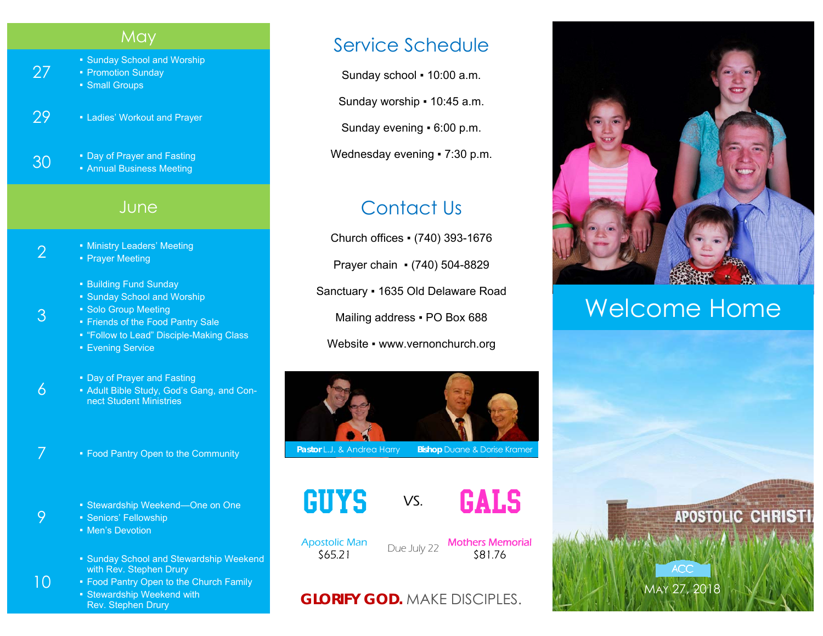#### **May**

■ Sunday School and Worship

▪ Promotion Sunday ■ Small Groups

27

3

6

9

10

29 • Ladies' Workout and Prayer

**30** • Day of Prayer and Fasting **Annual Business Meeting** 

#### **June**

- 2  **Ministry Leaders' Meeting** 
	- Prayer Meeting
	- Building Fund Sunday
	- Sunday School and Worship
	- **Solo Group Meeting** 
		- Friends of the Food Pantry Sale
		- "Follow to Lead" Disciple-Making Class
		- **Evening Service**

**• Day of Prayer and Fasting** 

- Adult Bible Study, God's Gang, and Connect Student Ministries
- 7 Food Pantry Open to the Community
	- Stewardship Weekend—One on One
	- Seniors' Fellowship
	- Men's Devotion
	- Sunday School and Stewardship Weekend with Rev. Stephen Drury
	- Food Pantry Open to the Church Family **• Stewardship Weekend with** Rev. Stephen Drury

### Service Schedule

Sunday school ▪ 10:00 a.m.

Sunday worship ▪ 10:45 a.m.

Sunday evening ▪ 6:00 p.m.

Wednesday evening • 7:30 p.m.

## Contact Us

Church offices ▪ (740) 393-1676 Prayer chain ▪ (740) 504-8829

Sanctuary ▪ 1635 Old Delaware Road

Mailing address . PO Box 688

Website • www.vernonchurch.org



**Pastor L.J. & Andrea Harry Bishop Duane & Dorise Kramer** 





Apostolic Man

ostolic Man Due July 22 Mothers Memorial S65.21

#### **GLORIFY GOD.** MAKE DISCIPLES.



# Welcome Home